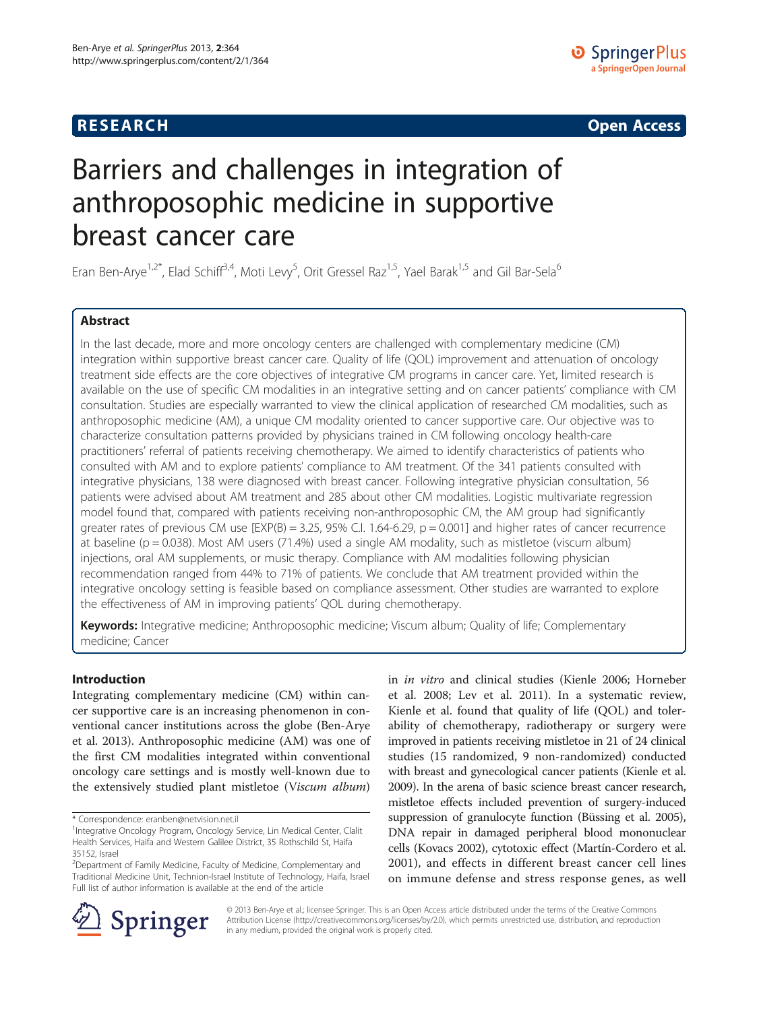## **RESEARCH CHE CHE Open Access**

# Barriers and challenges in integration of anthroposophic medicine in supportive breast cancer care

Eran Ben-Arye<sup>1,2\*</sup>, Elad Schiff<sup>3,4</sup>, Moti Levy<sup>5</sup>, Orit Gressel Raz<sup>1,5</sup>, Yael Barak<sup>1,5</sup> and Gil Bar-Sela<sup>6</sup>

## Abstract

In the last decade, more and more oncology centers are challenged with complementary medicine (CM) integration within supportive breast cancer care. Quality of life (QOL) improvement and attenuation of oncology treatment side effects are the core objectives of integrative CM programs in cancer care. Yet, limited research is available on the use of specific CM modalities in an integrative setting and on cancer patients' compliance with CM consultation. Studies are especially warranted to view the clinical application of researched CM modalities, such as anthroposophic medicine (AM), a unique CM modality oriented to cancer supportive care. Our objective was to characterize consultation patterns provided by physicians trained in CM following oncology health-care practitioners' referral of patients receiving chemotherapy. We aimed to identify characteristics of patients who consulted with AM and to explore patients' compliance to AM treatment. Of the 341 patients consulted with integrative physicians, 138 were diagnosed with breast cancer. Following integrative physician consultation, 56 patients were advised about AM treatment and 285 about other CM modalities. Logistic multivariate regression model found that, compared with patients receiving non-anthroposophic CM, the AM group had significantly greater rates of previous CM use  $[EXP(B) = 3.25, 95\%$  C.I. 1.64-6.29,  $p = 0.001$ ] and higher rates of cancer recurrence at baseline ( $p = 0.038$ ). Most AM users (71.4%) used a single AM modality, such as mistletoe (viscum album) injections, oral AM supplements, or music therapy. Compliance with AM modalities following physician recommendation ranged from 44% to 71% of patients. We conclude that AM treatment provided within the integrative oncology setting is feasible based on compliance assessment. Other studies are warranted to explore the effectiveness of AM in improving patients' QOL during chemotherapy.

Keywords: Integrative medicine; Anthroposophic medicine; Viscum album; Quality of life; Complementary medicine; Cancer

## Introduction

Integrating complementary medicine (CM) within cancer supportive care is an increasing phenomenon in conventional cancer institutions across the globe (Ben-Arye et al. [2013\)](#page-6-0). Anthroposophic medicine (AM) was one of the first CM modalities integrated within conventional oncology care settings and is mostly well-known due to the extensively studied plant mistletoe (Viscum album)

in in vitro and clinical studies (Kienle [2006](#page-6-0); Horneber et al. [2008](#page-6-0); Lev et al. [2011](#page-6-0)). In a systematic review, Kienle et al. found that quality of life (QOL) and tolerability of chemotherapy, radiotherapy or surgery were improved in patients receiving mistletoe in 21 of 24 clinical studies (15 randomized, 9 non-randomized) conducted with breast and gynecological cancer patients (Kienle et al. [2009\)](#page-6-0). In the arena of basic science breast cancer research, mistletoe effects included prevention of surgery-induced suppression of granulocyte function (Büssing et al. [2005](#page-6-0)), DNA repair in damaged peripheral blood mononuclear cells (Kovacs [2002\)](#page-6-0), cytotoxic effect (Martín-Cordero et al. [2001\)](#page-6-0), and effects in different breast cancer cell lines on immune defense and stress response genes, as well



© 2013 Ben-Arye et al.; licensee Springer. This is an Open Access article distributed under the terms of the Creative Commons Attribution License [\(http://creativecommons.org/licenses/by/2.0\)](http://creativecommons.org/licenses/by/2.0), which permits unrestricted use, distribution, and reproduction in any medium, provided the original work is properly cited.

<sup>\*</sup> Correspondence: [eranben@netvision.net.il](mailto:eranben@netvision.net.il) <sup>1</sup>

<sup>&</sup>lt;sup>1</sup>Integrative Oncology Program, Oncology Service, Lin Medical Center, Clalit Health Services, Haifa and Western Galilee District, 35 Rothschild St, Haifa 35152, Israel

<sup>&</sup>lt;sup>2</sup>Department of Family Medicine, Faculty of Medicine, Complementary and Traditional Medicine Unit, Technion-Israel Institute of Technology, Haifa, Israel Full list of author information is available at the end of the article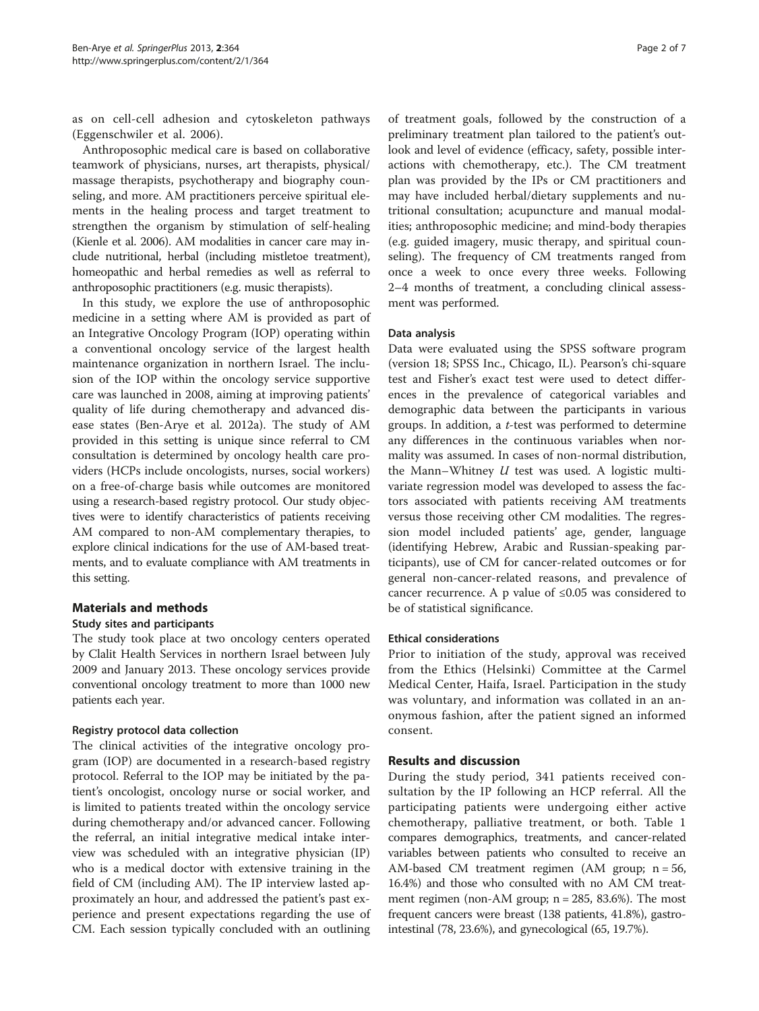as on cell-cell adhesion and cytoskeleton pathways (Eggenschwiler et al. [2006\)](#page-6-0).

Anthroposophic medical care is based on collaborative teamwork of physicians, nurses, art therapists, physical/ massage therapists, psychotherapy and biography counseling, and more. AM practitioners perceive spiritual elements in the healing process and target treatment to strengthen the organism by stimulation of self-healing (Kienle et al. [2006](#page-6-0)). AM modalities in cancer care may include nutritional, herbal (including mistletoe treatment), homeopathic and herbal remedies as well as referral to anthroposophic practitioners (e.g. music therapists).

In this study, we explore the use of anthroposophic medicine in a setting where AM is provided as part of an Integrative Oncology Program (IOP) operating within a conventional oncology service of the largest health maintenance organization in northern Israel. The inclusion of the IOP within the oncology service supportive care was launched in 2008, aiming at improving patients' quality of life during chemotherapy and advanced disease states (Ben-Arye et al. [2012a](#page-6-0)). The study of AM provided in this setting is unique since referral to CM consultation is determined by oncology health care providers (HCPs include oncologists, nurses, social workers) on a free-of-charge basis while outcomes are monitored using a research-based registry protocol. Our study objectives were to identify characteristics of patients receiving AM compared to non-AM complementary therapies, to explore clinical indications for the use of AM-based treatments, and to evaluate compliance with AM treatments in this setting.

## Materials and methods

### Study sites and participants

The study took place at two oncology centers operated by Clalit Health Services in northern Israel between July 2009 and January 2013. These oncology services provide conventional oncology treatment to more than 1000 new patients each year.

#### Registry protocol data collection

The clinical activities of the integrative oncology program (IOP) are documented in a research-based registry protocol. Referral to the IOP may be initiated by the patient's oncologist, oncology nurse or social worker, and is limited to patients treated within the oncology service during chemotherapy and/or advanced cancer. Following the referral, an initial integrative medical intake interview was scheduled with an integrative physician (IP) who is a medical doctor with extensive training in the field of CM (including AM). The IP interview lasted approximately an hour, and addressed the patient's past experience and present expectations regarding the use of CM. Each session typically concluded with an outlining

of treatment goals, followed by the construction of a preliminary treatment plan tailored to the patient's outlook and level of evidence (efficacy, safety, possible interactions with chemotherapy, etc.). The CM treatment plan was provided by the IPs or CM practitioners and may have included herbal/dietary supplements and nutritional consultation; acupuncture and manual modalities; anthroposophic medicine; and mind-body therapies (e.g. guided imagery, music therapy, and spiritual counseling). The frequency of CM treatments ranged from once a week to once every three weeks. Following 2–4 months of treatment, a concluding clinical assessment was performed.

#### Data analysis

Data were evaluated using the SPSS software program (version 18; SPSS Inc., Chicago, IL). Pearson's chi-square test and Fisher's exact test were used to detect differences in the prevalence of categorical variables and demographic data between the participants in various groups. In addition, a t-test was performed to determine any differences in the continuous variables when normality was assumed. In cases of non-normal distribution, the Mann–Whitney  $U$  test was used. A logistic multivariate regression model was developed to assess the factors associated with patients receiving AM treatments versus those receiving other CM modalities. The regression model included patients' age, gender, language (identifying Hebrew, Arabic and Russian-speaking participants), use of CM for cancer-related outcomes or for general non-cancer-related reasons, and prevalence of cancer recurrence. A p value of ≤0.05 was considered to be of statistical significance.

#### Ethical considerations

Prior to initiation of the study, approval was received from the Ethics (Helsinki) Committee at the Carmel Medical Center, Haifa, Israel. Participation in the study was voluntary, and information was collated in an anonymous fashion, after the patient signed an informed consent.

#### Results and discussion

During the study period, 341 patients received consultation by the IP following an HCP referral. All the participating patients were undergoing either active chemotherapy, palliative treatment, or both. Table [1](#page-2-0) compares demographics, treatments, and cancer-related variables between patients who consulted to receive an AM-based CM treatment regimen (AM group; n = 56, 16.4%) and those who consulted with no AM CM treatment regimen (non-AM group;  $n = 285$ , 83.6%). The most frequent cancers were breast (138 patients, 41.8%), gastrointestinal (78, 23.6%), and gynecological (65, 19.7%).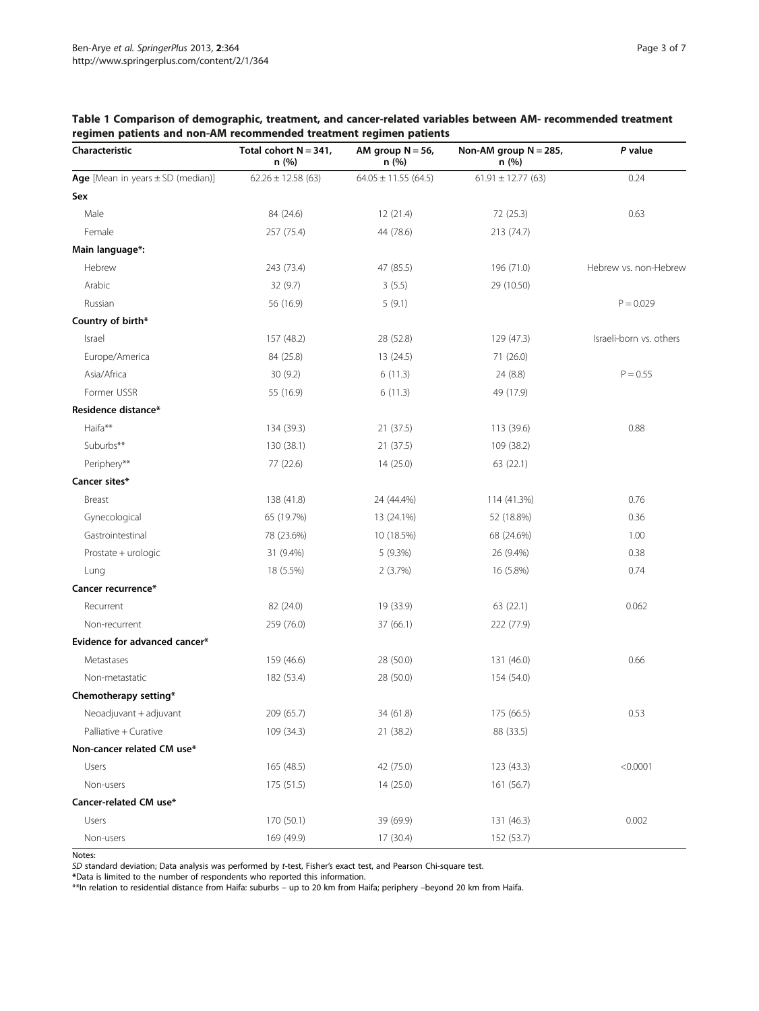| Characteristic                        | Total cohort $N = 341$ ,<br>n(%) | AM group $N = 56$ ,<br>n(%) | Non-AM group $N = 285$ ,<br>n(%) | P value                 |
|---------------------------------------|----------------------------------|-----------------------------|----------------------------------|-------------------------|
| Age [Mean in years $\pm$ SD (median)] | $62.26 \pm 12.58$ (63)           | $64.05 \pm 11.55$ (64.5)    | $61.91 \pm 12.77$ (63)           | 0.24                    |
| Sex                                   |                                  |                             |                                  |                         |
| Male                                  | 84 (24.6)                        | 12 (21.4)                   | 72 (25.3)                        | 0.63                    |
| Female                                | 257 (75.4)                       | 44 (78.6)                   | 213 (74.7)                       |                         |
| Main language*:                       |                                  |                             |                                  |                         |
| Hebrew                                | 243 (73.4)                       | 47 (85.5)                   | 196 (71.0)                       | Hebrew vs. non-Hebrew   |
| Arabic                                | 32 (9.7)                         | 3(5.5)                      | 29 (10.50)                       |                         |
| Russian                               | 56 (16.9)                        | 5(9.1)                      |                                  | $P = 0.029$             |
| Country of birth*                     |                                  |                             |                                  |                         |
| Israel                                | 157 (48.2)                       | 28 (52.8)                   | 129 (47.3)                       | Israeli-born vs. others |
| Europe/America                        | 84 (25.8)                        | 13 (24.5)                   | 71 (26.0)                        |                         |
| Asia/Africa                           | 30(9.2)                          | 6(11.3)                     | 24 (8.8)                         | $P = 0.55$              |
| Former USSR                           | 55 (16.9)                        | 6(11.3)                     | 49 (17.9)                        |                         |
| Residence distance*                   |                                  |                             |                                  |                         |
| Haifa**                               | 134 (39.3)                       | 21(37.5)                    | 113 (39.6)                       | 0.88                    |
| Suburbs**                             | 130 (38.1)                       | 21(37.5)                    | 109 (38.2)                       |                         |
| Periphery**                           | 77 (22.6)                        | 14 (25.0)                   | 63 (22.1)                        |                         |
| Cancer sites*                         |                                  |                             |                                  |                         |
| Breast                                | 138 (41.8)                       | 24 (44.4%)                  | 114 (41.3%)                      | 0.76                    |
| Gynecological                         | 65 (19.7%)                       | 13 (24.1%)                  | 52 (18.8%)                       | 0.36                    |
| Gastrointestinal                      | 78 (23.6%)                       | 10 (18.5%)                  | 68 (24.6%)                       | 1.00                    |
| Prostate + urologic                   | 31 (9.4%)                        | 5(9.3%)                     | 26 (9.4%)                        | 0.38                    |
| Lung                                  | 18 (5.5%)                        | 2(3.7%)                     | 16 (5.8%)                        | 0.74                    |
| Cancer recurrence*                    |                                  |                             |                                  |                         |
| Recurrent                             | 82 (24.0)                        | 19 (33.9)                   | 63 (22.1)                        | 0.062                   |
| Non-recurrent                         | 259 (76.0)                       | 37(66.1)                    | 222 (77.9)                       |                         |
| Evidence for advanced cancer*         |                                  |                             |                                  |                         |
| Metastases                            | 159 (46.6)                       | 28 (50.0)                   | 131 (46.0)                       | 0.66                    |
| Non-metastatic                        | 182 (53.4)                       | 28 (50.0)                   | 154 (54.0)                       |                         |
| Chemotherapy setting*                 |                                  |                             |                                  |                         |
| Neoadjuvant + adjuvant                | 209 (65.7)                       | 34 (61.8)                   | 175 (66.5)                       | 0.53                    |
| Palliative + Curative                 | 109 (34.3)                       | 21 (38.2)                   | 88 (33.5)                        |                         |
| Non-cancer related CM use*            |                                  |                             |                                  |                         |
| <b>Users</b>                          | 165 (48.5)                       | 42 (75.0)                   | 123 (43.3)                       | < 0.0001                |
| Non-users                             | 175 (51.5)                       | 14(25.0)                    | 161 (56.7)                       |                         |
| Cancer-related CM use*                |                                  |                             |                                  |                         |
| Users                                 | 170 (50.1)                       | 39 (69.9)                   | 131 (46.3)                       | 0.002                   |
| Non-users                             | 169 (49.9)                       | 17(30.4)                    | 152 (53.7)                       |                         |

<span id="page-2-0"></span>Table 1 Comparison of demographic, treatment, and cancer-related variables between AM- recommended treatment regimen patients and non-AM recommended treatment regimen patients

SD standard deviation; Data analysis was performed by t-test, Fisher's exact test, and Pearson Chi-square test. \*Data is limited to the number of respondents who reported this information.

Notes:

\*\*In relation to residential distance from Haifa: suburbs – up to 20 km from Haifa; periphery –beyond 20 km from Haifa.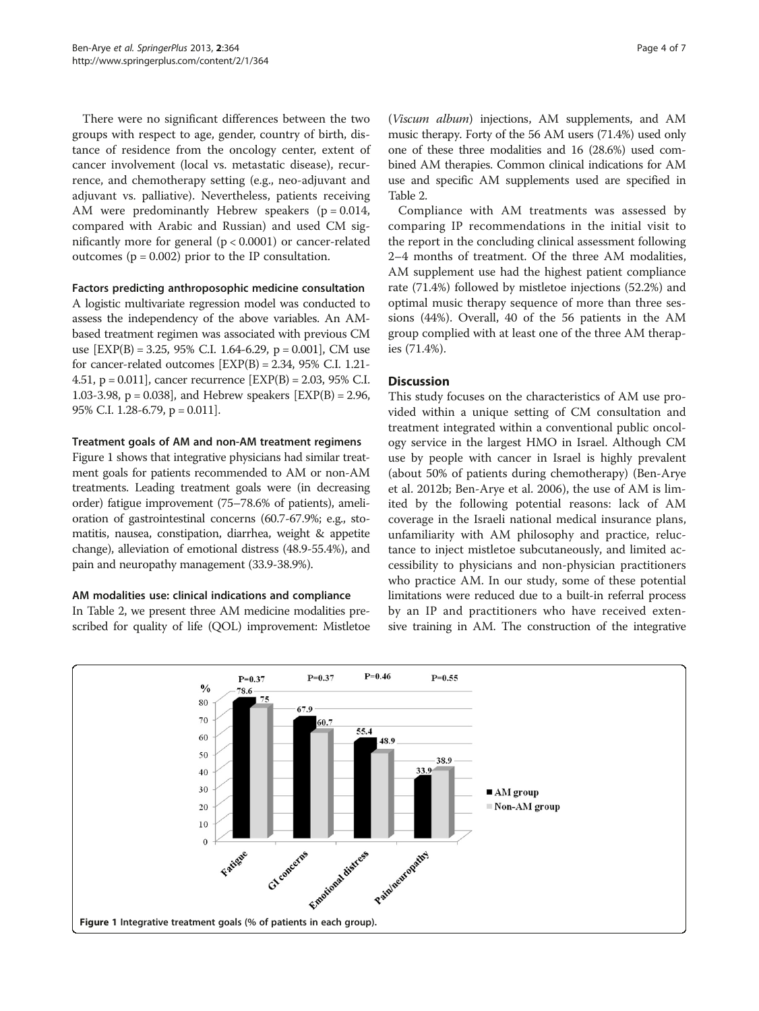There were no significant differences between the two groups with respect to age, gender, country of birth, distance of residence from the oncology center, extent of cancer involvement (local vs. metastatic disease), recurrence, and chemotherapy setting (e.g., neo-adjuvant and adjuvant vs. palliative). Nevertheless, patients receiving AM were predominantly Hebrew speakers  $(p = 0.014,$ compared with Arabic and Russian) and used CM significantly more for general (p < 0.0001) or cancer-related outcomes ( $p = 0.002$ ) prior to the IP consultation.

#### Factors predicting anthroposophic medicine consultation

A logistic multivariate regression model was conducted to assess the independency of the above variables. An AMbased treatment regimen was associated with previous CM use  $[EXP(B) = 3.25, 95\% \text{ C.I. } 1.64-6.29, p = 0.001], \text{ CM}$  use for cancer-related outcomes  $[EXP(B) = 2.34, 95\% C.I. 1.21-$ 4.51, p = 0.011], cancer recurrence [EXP(B) = 2.03, 95% C.I. 1.03-3.98, p = 0.038], and Hebrew speakers [EXP(B) = 2.96, 95% C.I. 1.28-6.79, p = 0.011].

## Treatment goals of AM and non-AM treatment regimens

Figure 1 shows that integrative physicians had similar treatment goals for patients recommended to AM or non-AM treatments. Leading treatment goals were (in decreasing order) fatigue improvement (75–78.6% of patients), amelioration of gastrointestinal concerns (60.7-67.9%; e.g., stomatitis, nausea, constipation, diarrhea, weight & appetite change), alleviation of emotional distress (48.9-55.4%), and pain and neuropathy management (33.9-38.9%).

## AM modalities use: clinical indications and compliance

In Table [2,](#page-4-0) we present three AM medicine modalities prescribed for quality of life (QOL) improvement: Mistletoe

(Viscum album) injections, AM supplements, and AM music therapy. Forty of the 56 AM users (71.4%) used only one of these three modalities and 16 (28.6%) used combined AM therapies. Common clinical indications for AM use and specific AM supplements used are specified in Table [2](#page-4-0).

Compliance with AM treatments was assessed by comparing IP recommendations in the initial visit to the report in the concluding clinical assessment following 2–4 months of treatment. Of the three AM modalities, AM supplement use had the highest patient compliance rate (71.4%) followed by mistletoe injections (52.2%) and optimal music therapy sequence of more than three sessions (44%). Overall, 40 of the 56 patients in the AM group complied with at least one of the three AM therapies (71.4%).

## **Discussion**

This study focuses on the characteristics of AM use provided within a unique setting of CM consultation and treatment integrated within a conventional public oncology service in the largest HMO in Israel. Although CM use by people with cancer in Israel is highly prevalent (about 50% of patients during chemotherapy) (Ben-Arye et al. [2012b](#page-6-0); Ben-Arye et al. [2006](#page-6-0)), the use of AM is limited by the following potential reasons: lack of AM coverage in the Israeli national medical insurance plans, unfamiliarity with AM philosophy and practice, reluctance to inject mistletoe subcutaneously, and limited accessibility to physicians and non-physician practitioners who practice AM. In our study, some of these potential limitations were reduced due to a built-in referral process by an IP and practitioners who have received extensive training in AM. The construction of the integrative

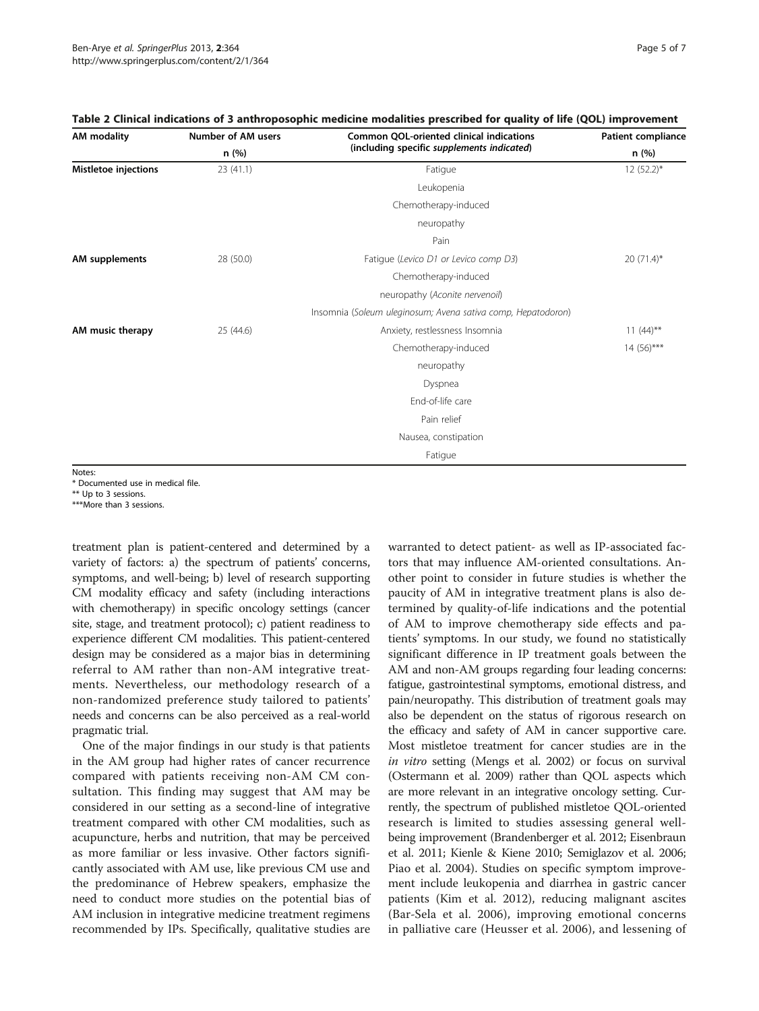| AM modality                 | Number of AM users | Common QOL-oriented clinical indications                     | <b>Patient compliance</b> |  |
|-----------------------------|--------------------|--------------------------------------------------------------|---------------------------|--|
|                             | n (%)              | (including specific supplements indicated)                   | n (%)                     |  |
| <b>Mistletoe injections</b> | 23(41.1)           | Fatigue                                                      | $12(52.2)$ *              |  |
|                             |                    | Leukopenia                                                   |                           |  |
|                             |                    | Chemotherapy-induced                                         |                           |  |
|                             |                    | neuropathy                                                   |                           |  |
|                             |                    | Pain                                                         |                           |  |
| AM supplements              | 28 (50.0)          | Fatigue (Levico D1 or Levico comp D3)                        | $20(71.4)$ *              |  |
|                             |                    | Chemotherapy-induced                                         |                           |  |
|                             |                    | neuropathy (Aconite nervenoil)                               |                           |  |
|                             |                    | Insomnia (Soleum uleginosum; Avena sativa comp, Hepatodoron) |                           |  |
| AM music therapy            | 25 (44.6)          | Anxiety, restlessness Insomnia                               | $11(44)$ **               |  |
|                             |                    | Chemotherapy-induced                                         | $14(56)$ ***              |  |
|                             |                    | neuropathy                                                   |                           |  |
|                             |                    | Dyspnea                                                      |                           |  |
|                             |                    | End-of-life care                                             |                           |  |
|                             |                    | Pain relief                                                  |                           |  |
|                             |                    | Nausea, constipation                                         |                           |  |
|                             |                    | Fatigue                                                      |                           |  |
| Notac:                      |                    |                                                              |                           |  |

<span id="page-4-0"></span>

| Table 2 Clinical indications of 3 anthroposophic medicine modalities prescribed for quality of life (QOL) improvement |  |  |  |  |
|-----------------------------------------------------------------------------------------------------------------------|--|--|--|--|
|-----------------------------------------------------------------------------------------------------------------------|--|--|--|--|

Notes:

\* Documented use in medical file.

\*\* Up to 3 sessions.

\*\*\*More than 3 sessions.

treatment plan is patient-centered and determined by a variety of factors: a) the spectrum of patients' concerns, symptoms, and well-being; b) level of research supporting CM modality efficacy and safety (including interactions with chemotherapy) in specific oncology settings (cancer site, stage, and treatment protocol); c) patient readiness to experience different CM modalities. This patient-centered design may be considered as a major bias in determining referral to AM rather than non-AM integrative treatments. Nevertheless, our methodology research of a non-randomized preference study tailored to patients' needs and concerns can be also perceived as a real-world pragmatic trial.

One of the major findings in our study is that patients in the AM group had higher rates of cancer recurrence compared with patients receiving non-AM CM consultation. This finding may suggest that AM may be considered in our setting as a second-line of integrative treatment compared with other CM modalities, such as acupuncture, herbs and nutrition, that may be perceived as more familiar or less invasive. Other factors significantly associated with AM use, like previous CM use and the predominance of Hebrew speakers, emphasize the need to conduct more studies on the potential bias of AM inclusion in integrative medicine treatment regimens recommended by IPs. Specifically, qualitative studies are warranted to detect patient- as well as IP-associated factors that may influence AM-oriented consultations. Another point to consider in future studies is whether the paucity of AM in integrative treatment plans is also determined by quality-of-life indications and the potential of AM to improve chemotherapy side effects and patients' symptoms. In our study, we found no statistically significant difference in IP treatment goals between the AM and non-AM groups regarding four leading concerns: fatigue, gastrointestinal symptoms, emotional distress, and pain/neuropathy. This distribution of treatment goals may also be dependent on the status of rigorous research on the efficacy and safety of AM in cancer supportive care. Most mistletoe treatment for cancer studies are in the in vitro setting (Mengs et al. [2002\)](#page-6-0) or focus on survival (Ostermann et al. [2009](#page-6-0)) rather than QOL aspects which are more relevant in an integrative oncology setting. Currently, the spectrum of published mistletoe QOL-oriented research is limited to studies assessing general wellbeing improvement (Brandenberger et al. [2012;](#page-6-0) Eisenbraun et al. [2011;](#page-6-0) Kienle & Kiene [2010](#page-6-0); Semiglazov et al. [2006](#page-6-0); Piao et al. [2004](#page-6-0)). Studies on specific symptom improvement include leukopenia and diarrhea in gastric cancer patients (Kim et al. [2012](#page-6-0)), reducing malignant ascites (Bar-Sela et al. [2006](#page-6-0)), improving emotional concerns in palliative care (Heusser et al. [2006\)](#page-6-0), and lessening of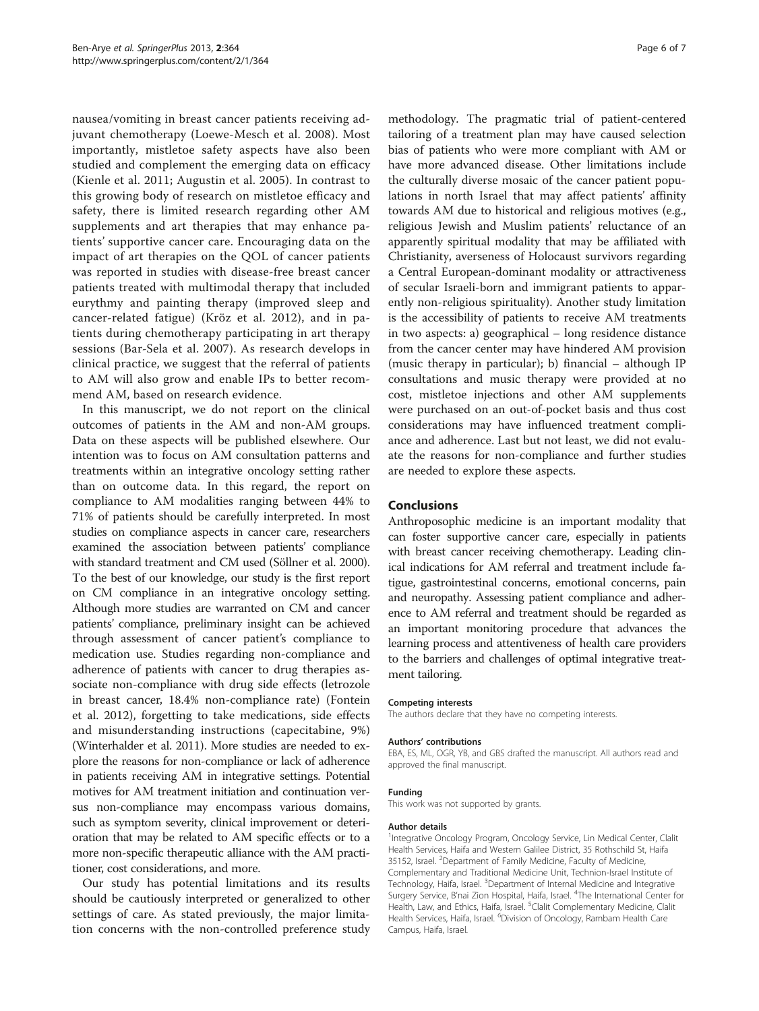nausea/vomiting in breast cancer patients receiving adjuvant chemotherapy (Loewe-Mesch et al. [2008\)](#page-6-0). Most importantly, mistletoe safety aspects have also been studied and complement the emerging data on efficacy (Kienle et al. [2011;](#page-6-0) Augustin et al. [2005\)](#page-6-0). In contrast to this growing body of research on mistletoe efficacy and safety, there is limited research regarding other AM supplements and art therapies that may enhance patients' supportive cancer care. Encouraging data on the impact of art therapies on the QOL of cancer patients was reported in studies with disease-free breast cancer patients treated with multimodal therapy that included eurythmy and painting therapy (improved sleep and cancer-related fatigue) (Kröz et al. [2012](#page-6-0)), and in patients during chemotherapy participating in art therapy sessions (Bar-Sela et al. [2007\)](#page-6-0). As research develops in clinical practice, we suggest that the referral of patients to AM will also grow and enable IPs to better recommend AM, based on research evidence.

In this manuscript, we do not report on the clinical outcomes of patients in the AM and non-AM groups. Data on these aspects will be published elsewhere. Our intention was to focus on AM consultation patterns and treatments within an integrative oncology setting rather than on outcome data. In this regard, the report on compliance to AM modalities ranging between 44% to 71% of patients should be carefully interpreted. In most studies on compliance aspects in cancer care, researchers examined the association between patients' compliance with standard treatment and CM used (Söllner et al. [2000](#page-6-0)). To the best of our knowledge, our study is the first report on CM compliance in an integrative oncology setting. Although more studies are warranted on CM and cancer patients' compliance, preliminary insight can be achieved through assessment of cancer patient's compliance to medication use. Studies regarding non-compliance and adherence of patients with cancer to drug therapies associate non-compliance with drug side effects (letrozole in breast cancer, 18.4% non-compliance rate) (Fontein et al. [2012](#page-6-0)), forgetting to take medications, side effects and misunderstanding instructions (capecitabine, 9%) (Winterhalder et al. [2011](#page-6-0)). More studies are needed to explore the reasons for non-compliance or lack of adherence in patients receiving AM in integrative settings. Potential motives for AM treatment initiation and continuation versus non-compliance may encompass various domains, such as symptom severity, clinical improvement or deterioration that may be related to AM specific effects or to a more non-specific therapeutic alliance with the AM practitioner, cost considerations, and more.

Our study has potential limitations and its results should be cautiously interpreted or generalized to other settings of care. As stated previously, the major limitation concerns with the non-controlled preference study

methodology. The pragmatic trial of patient-centered tailoring of a treatment plan may have caused selection bias of patients who were more compliant with AM or have more advanced disease. Other limitations include the culturally diverse mosaic of the cancer patient populations in north Israel that may affect patients' affinity towards AM due to historical and religious motives (e.g., religious Jewish and Muslim patients' reluctance of an apparently spiritual modality that may be affiliated with Christianity, averseness of Holocaust survivors regarding a Central European-dominant modality or attractiveness of secular Israeli-born and immigrant patients to apparently non-religious spirituality). Another study limitation is the accessibility of patients to receive AM treatments in two aspects: a) geographical – long residence distance from the cancer center may have hindered AM provision (music therapy in particular); b) financial – although IP consultations and music therapy were provided at no cost, mistletoe injections and other AM supplements were purchased on an out-of-pocket basis and thus cost considerations may have influenced treatment compliance and adherence. Last but not least, we did not evaluate the reasons for non-compliance and further studies are needed to explore these aspects.

#### Conclusions

Anthroposophic medicine is an important modality that can foster supportive cancer care, especially in patients with breast cancer receiving chemotherapy. Leading clinical indications for AM referral and treatment include fatigue, gastrointestinal concerns, emotional concerns, pain and neuropathy. Assessing patient compliance and adherence to AM referral and treatment should be regarded as an important monitoring procedure that advances the learning process and attentiveness of health care providers to the barriers and challenges of optimal integrative treatment tailoring.

#### Competing interests

The authors declare that they have no competing interests.

#### Authors' contributions

EBA, ES, ML, OGR, YB, and GBS drafted the manuscript. All authors read and approved the final manuscript.

#### Funding

This work was not supported by grants.

#### Author details

<sup>1</sup>Integrative Oncology Program, Oncology Service, Lin Medical Center, Clalit Health Services, Haifa and Western Galilee District, 35 Rothschild St, Haifa 35152, Israel. <sup>2</sup>Department of Family Medicine, Faculty of Medicine, Complementary and Traditional Medicine Unit, Technion-Israel Institute of Technology, Haifa, Israel. <sup>3</sup>Department of Internal Medicine and Integrative Surgery Service, B'nai Zion Hospital, Haifa, Israel. <sup>4</sup>The International Center for Health, Law, and Ethics, Haifa, Israel. <sup>5</sup>Clalit Complementary Medicine, Clalit Health Services, Haifa, Israel. <sup>6</sup>Division of Oncology, Rambam Health Care Campus, Haifa, Israel.